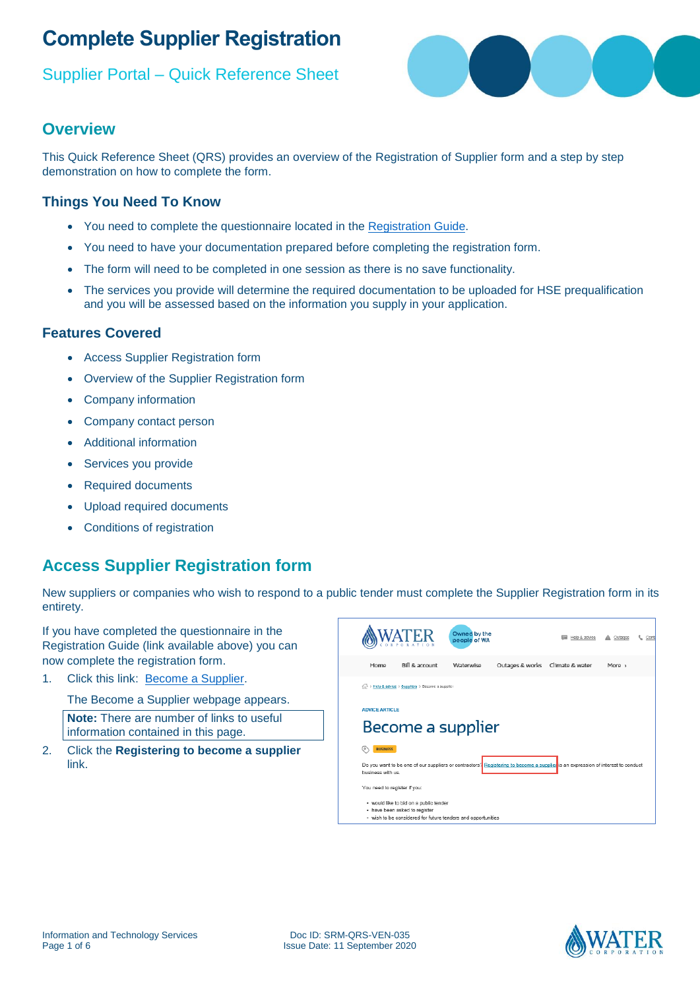#### Supplier Portal – Quick Reference Sheet



#### **Overview**

This Quick Reference Sheet (QRS) provides an overview of the Registration of Supplier form and a step by step demonstration on how to complete the form.

#### **Things You Need To Know**

- You need to complete the questionnaire located in the [Registration Guide.](https://www.watercorporation.com.au/About-us/Suppliers-and-contractors/Become-a-supplier/Become-a-supplier-checklist#/form)
- You need to have your documentation prepared before completing the registration form.
- The form will need to be completed in one session as there is no save functionality.
- The services you provide will determine the required documentation to be uploaded for HSE prequalification and you will be assessed based on the information you supply in your application.

#### **Features Covered**

- Access Supplier Registration form
- Overview of the Supplier Registration form
- Company information
- Company contact person
- Additional information
- Services you provide
- Required documents
- Upload required documents
- Conditions of registration

## **Access Supplier Registration form**

New suppliers or companies who wish to respond to a public tender must complete the Supplier Registration form in its entirety.

If you have completed the questionnaire in the Registration Guide (link available above) you can now complete the registration form.

1. Click this link: [Become a Supplier.](https://www.watercorporation.com.au/Help-and-advice/Suppliers/Become-a-supplier/Become-a-supplier)

The Become a Supplier webpage appears.

**Note:** There are number of links to useful information contained in this page.

2. Click the **Registering to become a supplier** link.



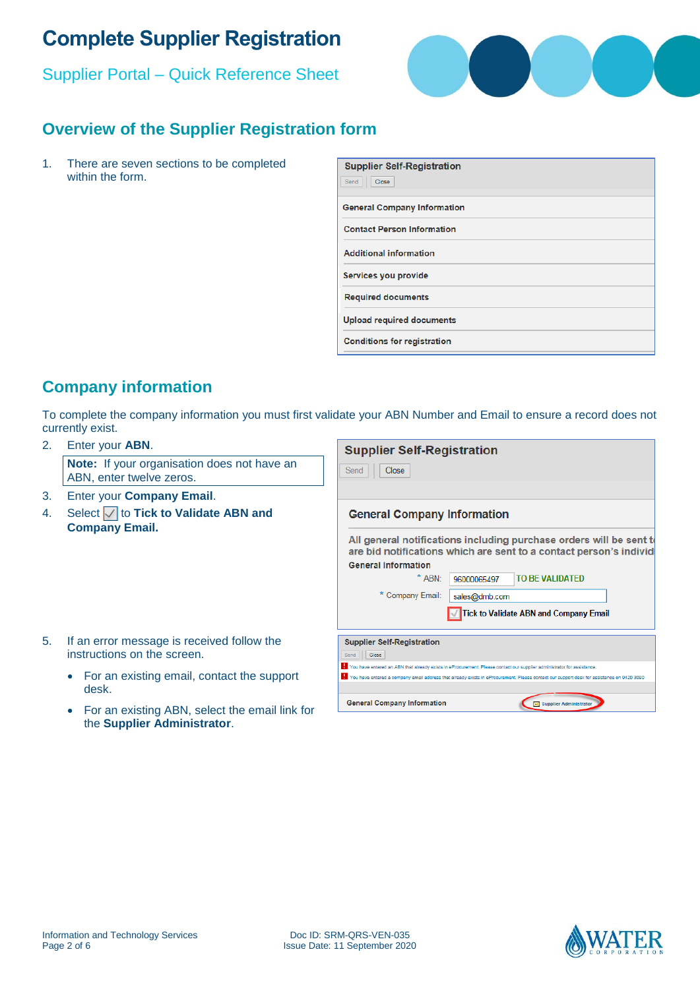Supplier Portal – Quick Reference Sheet



## **Overview of the Supplier Registration form**

1. There are seven sections to be completed within the form.

| <b>Supplier Self-Registration</b><br>Send<br>Close |
|----------------------------------------------------|
| <b>General Company Information</b>                 |
| <b>Contact Person Information</b>                  |
| <b>Additional information</b>                      |
| Services you provide                               |
| <b>Required documents</b>                          |
| <b>Upload required documents</b>                   |
| <b>Conditions for registration</b>                 |

#### **Company information**

To complete the company information you must first validate your ABN Number and Email to ensure a record does not currently exist.

#### 2. Enter your **ABN**.

**Note:** If your organisation does not have an ABN, enter twelve zeros.

- 3. Enter your **Company Email**.
- 4. Select  $\sqrt{\ }$  to **Tick to Validate ABN and Company Email.**

| <b>Supplier Self-Registration</b>                                                                                                          |               |                                               |  |
|--------------------------------------------------------------------------------------------------------------------------------------------|---------------|-----------------------------------------------|--|
| Close<br>Send                                                                                                                              |               |                                               |  |
|                                                                                                                                            |               |                                               |  |
| <b>General Company Information</b>                                                                                                         |               |                                               |  |
| All general notifications including purchase orders will be sent to<br>are bid notifications which are sent to a contact person's individe |               |                                               |  |
| <b>General Information</b>                                                                                                                 |               |                                               |  |
| * ARN-                                                                                                                                     | 96000065497   | TO BE VALIDATED                               |  |
| * Company Email:                                                                                                                           | sales@dmb.com |                                               |  |
|                                                                                                                                            |               | <b>Tick to Validate ABN and Company Email</b> |  |
|                                                                                                                                            |               |                                               |  |
| <b>Supplier Self-Registration</b>                                                                                                          |               |                                               |  |
| Close<br>Send                                                                                                                              |               |                                               |  |
| You have entered an ABN that already exists in eProcurement. Please contact our supplier administrator for assistance.                     |               |                                               |  |
| You have entered a company email address that already exists in eProcurement. Please contact our support desk for assistance on 9420 3090  |               |                                               |  |
|                                                                                                                                            |               |                                               |  |
| <b>General Company Information</b>                                                                                                         |               | Supplier Administrator                        |  |

- 5. If an error message is received follow the instructions on the screen.
	- For an existing email, contact the support desk.
	- For an existing ABN, select the email link for the **Supplier Administrator**.



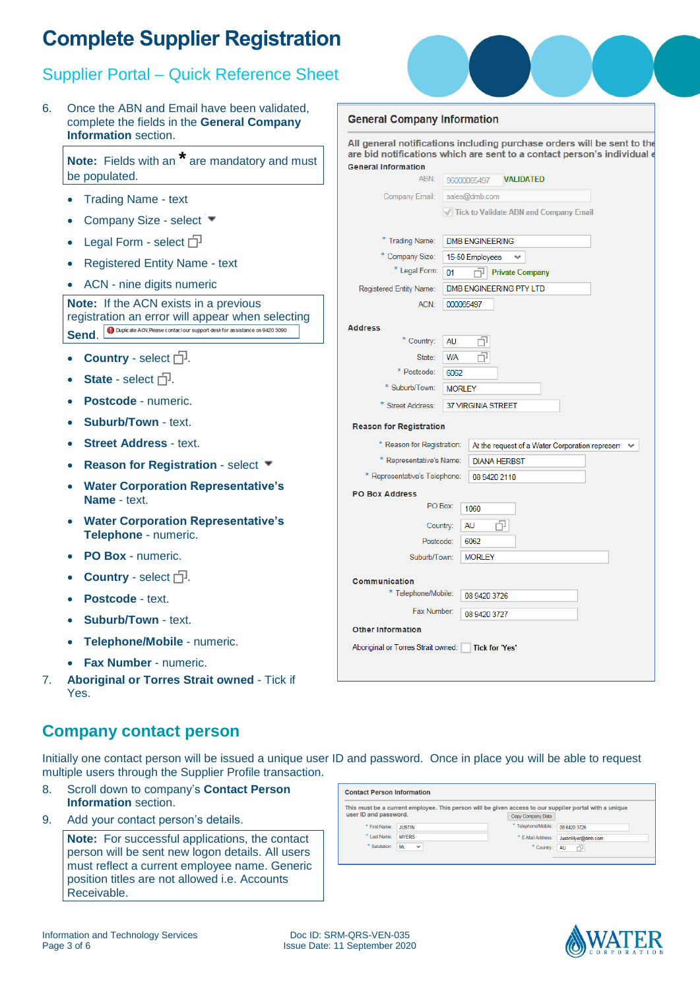## Supplier Portal – Quick Reference Sheet

6. Once the ABN and Email have been validated, complete the fields in the **General Company Information** section.

**Note:** Fields with an **\*** are mandatory and must be populated.

- Trading Name text
- Company Size select
- Legal Form select  $\Box$
- Registered Entity Name text
- ACN nine digits numeric

**Note:** If the ACN exists in a previous registration an error will appear when selecting **Send.** Opicate ACR Rease contact our support desk for assistance on 9420 3090

- Country select  $\Box$ .
- State select  $\Box$ .
- **Postcode**  numeric.
- **Suburb/Town**  text.
- **Street Address**  text.
- **Reason for Registration select**  $\blacktriangledown$
- **Water Corporation Representative's Name** - text.
- **Water Corporation Representative's Telephone** - numeric.
- **PO Box**  numeric.
- **Country** select  $\Box$ .
- **Postcode**  text.
- **Suburb/Town**  text.
- **Telephone/Mobile**  numeric.
- **Fax Number**  numeric.
- 7. **Aboriginal or Torres Strait owned** Tick if Yes.

| <b>General Company Information</b> |                                                                                                                                                    |
|------------------------------------|----------------------------------------------------------------------------------------------------------------------------------------------------|
| <b>General Information</b>         | All general notifications including purchase orders will be sent to the<br>are bid notifications which are sent to a contact person's individual e |
| <b>ARN</b>                         | <b>VALIDATED</b><br>96000065497                                                                                                                    |
| Company Email:                     | sales@dmb.com                                                                                                                                      |
| <b>Trading Name:</b>               | √ Tick to Validate ABN and Company Email<br><b>DMB ENGINEERING</b>                                                                                 |
| * Company Size:                    | 15-50 Employees                                                                                                                                    |
| * Legal Form:                      | <b>Private Company</b><br>01                                                                                                                       |
| Registered Entity Name:            | DMB ENGINEERING PTY LTD                                                                                                                            |
| ACN:                               | 000065497                                                                                                                                          |
| <b>Address</b>                     |                                                                                                                                                    |
| * Country:                         | <b>AU</b>                                                                                                                                          |
| State:                             | <b>WA</b>                                                                                                                                          |
| * Postcode:                        | 6062                                                                                                                                               |
| * Suburb/Town:                     | <b>MORLEY</b>                                                                                                                                      |
| Street Address:                    | <b>37 VIRGINIA STREET</b>                                                                                                                          |

#### **Reason for Registration**

| * Reason for Registration:<br>At the request of a Water Corporation represent | $\checkmark$ |
|-------------------------------------------------------------------------------|--------------|
| * Representative's Name:<br><b>DIANA HERBST</b>                               |              |
| * Representative's Telephone:<br>08 9420 2110                                 |              |
| <b>PO Box Address</b>                                                         |              |
| PO Box:<br>1060                                                               |              |
| رب<br>Country:<br>AU                                                          |              |
| 6062<br>Postcode:                                                             |              |
| <b>MORLEY</b><br>Suburb/Town:                                                 |              |
| Communication                                                                 |              |
|                                                                               |              |
| * Telephone/Mobile:<br>08 9420 3726                                           |              |
| Fax Number:<br>08 9420 3727                                                   |              |
| <b>Other Information</b>                                                      |              |
| Aboriginal or Torres Strait owned:<br><b>Tick for 'Yes'</b>                   |              |
|                                                                               |              |
|                                                                               |              |
|                                                                               |              |

#### **Company contact person**

Initially one contact person will be issued a unique user ID and password. Once in place you will be able to request multiple users through the Supplier Profile transaction.

- 8. Scroll down to company's **Contact Person Information** section.
- 9. Add your contact person's details.

**Note:** For successful applications, the contact person will be sent new logon details. All users must reflect a current employee name. Generic position titles are not allowed i.e. Accounts Receivable.

|                       | This must be a current employee. This person will be given access to our supplier portal with a unique |                     |                    |
|-----------------------|--------------------------------------------------------------------------------------------------------|---------------------|--------------------|
| user ID and password. |                                                                                                        | Copy Company Data   |                    |
| * First Name:         | <b>JUSTIN</b>                                                                                          | * Telephone/Mobile: | 08 6420 3726       |
| * Last Name:          | <b>MYFRS</b>                                                                                           | * E-Mail Address:   | JustinMyer@dmb.com |
| * Salutation:         | Mr.<br>$\checkmark$                                                                                    | * Country:          | 币<br><b>AU</b>     |

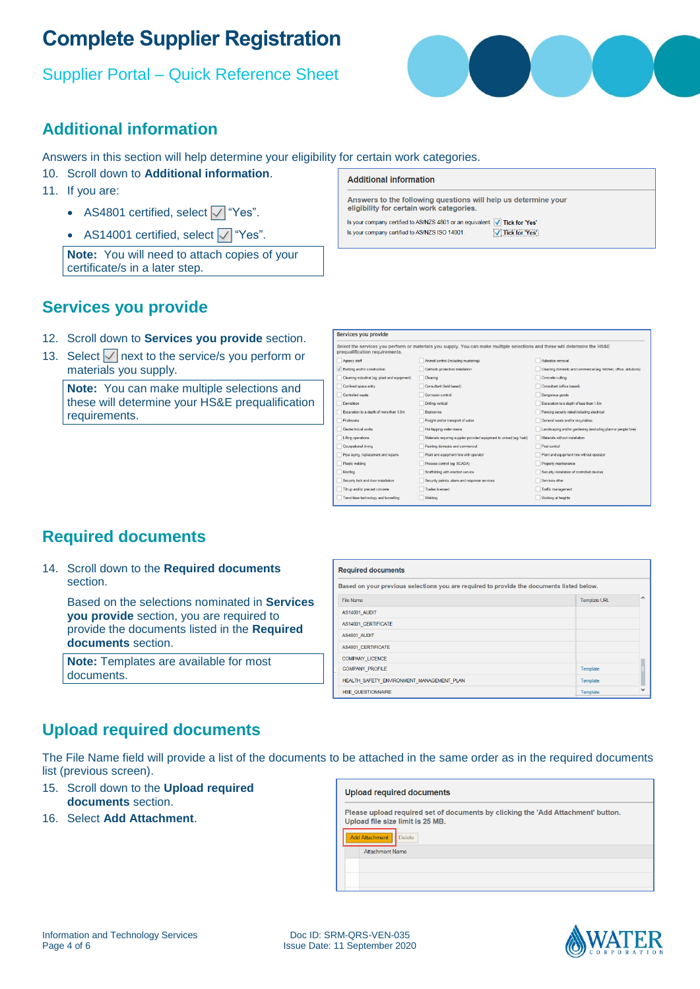## Supplier Portal – Quick Reference Sheet



#### **Additional information**

Answers in this section will help determine your eligibility for certain work categories.

- 10. Scroll down to **Additional information**.
- 11. If you are:
	- AS4801 certified, select  $\sqrt{\ }$  "Yes".
	- AS14001 certified, select  $\sqrt{\ }$  "Yes".

**Note:** You will need to attach copies of your certificate/s in a later step.

#### **Additional information**

 $\overline{\phantom{a}}$ 

Answers to the following questions will help us determine your<br>eligibility for certain work categories.

Is your company certified to AS/NZS 4801 or an equivalent. The Tick for 'Yes' Is your company certified to AS/NZS ISO 14001. V Tick for Yes

#### **Services you provide**

- 12. Scroll down to **Services you provide** section.
- 13. Select  $\sqrt{\ }$  next to the service/s you perform or materials you supply.

**Note:** You can make multiple selections and these will determine your HS&E prequalification requirements.

| prequalification requirements.                | Select the services you perform or materials you supply. You can make multiple selections and these will determine the HS&E |                                                                   |
|-----------------------------------------------|-----------------------------------------------------------------------------------------------------------------------------|-------------------------------------------------------------------|
| Agency staff                                  | Animal control (including mustering)                                                                                        | Asbestos removal                                                  |
| ✔ Building and/or construction                | Cathodic protection installation                                                                                            | Cleaning domestic and commercial (eg: kitchen, office, ablutions) |
| Cleaning industrial (eg: plant and equipment) | Clearing                                                                                                                    | Concrete cutting                                                  |
| Confined space entry                          | Consultant (field based)                                                                                                    | Consultant (office based)                                         |
| Controlled waste                              | Corrosion control                                                                                                           | Dangerous goods                                                   |
| Demolition                                    | Drilling vertical                                                                                                           | Excavation to a depth of less than 1.5m                           |
| Excavation to a depth of more than 1.5m       | Explosives                                                                                                                  | Fencing security rated including electrical                       |
| Firebreaks                                    | Freight and/or transport of water                                                                                           | General waste and/or recyclables                                  |
| Geotechnical works                            | Hot tapping water mains                                                                                                     | Landscaping and/or gardening (excluding plant or people hire)     |
| Lifting operations                            | Materials requiring supplier provided equipment to unload (eg: hiab)                                                        | Materials without installation                                    |
| Occupational diving                           | Painting domestic and commercial                                                                                            | Pest control                                                      |
| Pipe laying, replacement and repairs          | Plant and equipment hire with operator                                                                                      | Plant and equipment hire without operator                         |
| Plastic welding                               | Process control (eg: SCADA)                                                                                                 | Property maintenance                                              |
| Roofing                                       | Scaffolding with erection service                                                                                           | Security installation of controlled devices                       |
| Security lock and door installation           | Security patrols, alarm and response services                                                                               | Services other                                                    |
| Tilt up and/or precast concrete               | Trades licensed                                                                                                             | Traffic management                                                |
| Trenchless technology and tunnelling          | Welding                                                                                                                     | Working at heights                                                |

#### **Required documents**

14. Scroll down to the **Required documents** section.

> Based on the selections nominated in **Services you provide** section, you are required to provide the documents listed in the **Required documents** section.

**Note:** Templates are available for most documents.

| <b>Required documents</b>                                                                 |                     |   |
|-------------------------------------------------------------------------------------------|---------------------|---|
| Based on your previous selections you are required to provide the documents listed below. |                     |   |
| <b>File Name</b>                                                                          | <b>Template URL</b> | ^ |
| AS14001 AUDIT                                                                             |                     |   |
| AS14001 CERTIFICATE                                                                       |                     |   |
| AS4801 AUDIT                                                                              |                     |   |
| AS4801 CERTIFICATE                                                                        |                     |   |
| <b>COMPANY LICENCE</b>                                                                    |                     |   |
| <b>COMPANY PROFILE</b>                                                                    | Template            |   |
| HEALTH SAFETY ENVIRONMENT MANAGEMENT PLAN                                                 | Template            |   |
| <b>HSE QUESTIONNAIRE</b>                                                                  | Template            |   |

#### **Upload required documents**

The File Name field will provide a list of the documents to be attached in the same order as in the required documents list (previous screen).

- 15. Scroll down to the **Upload required documents** section.
- 16. Select **Add Attachment**.

| <b>Upload required documents</b>                                                                                     |  |
|----------------------------------------------------------------------------------------------------------------------|--|
| Please upload required set of documents by clicking the 'Add Attachment' button.<br>Upload file size limit is 25 MB. |  |
| <b>Add Attachment</b><br><b>Delete</b><br><b>Attachment Name</b>                                                     |  |
|                                                                                                                      |  |

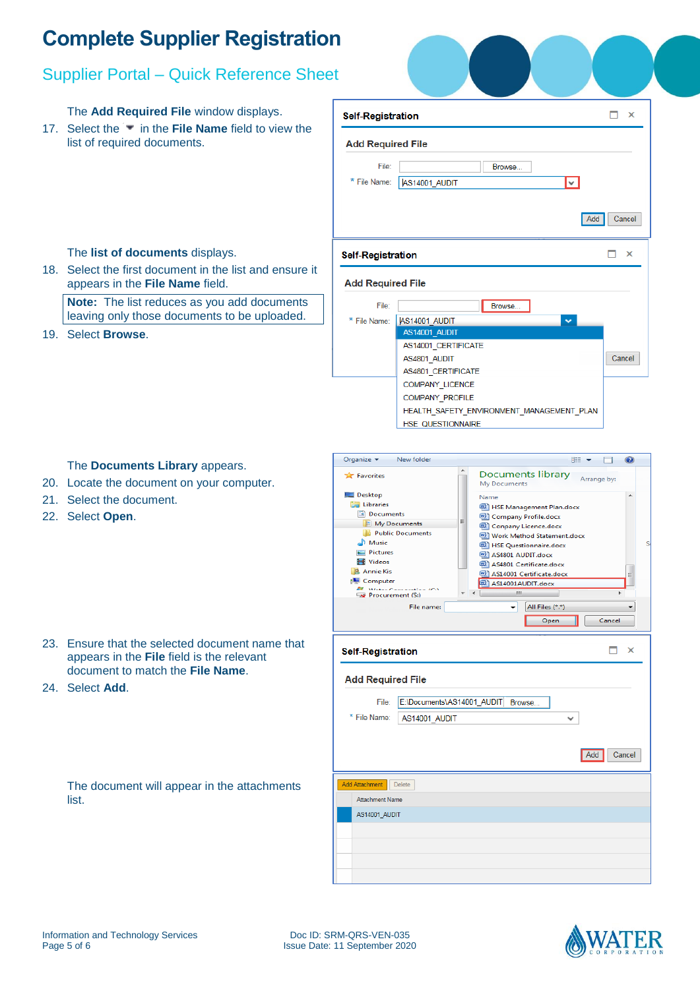## Supplier Portal – Quick Reference Sheet

The **Add Required File** window displays.

17. Select the **in the File Name** field to view the list of required documents.

18. Select the first document in the list and ensure it

**Note:** The list reduces as you add documents leaving only those documents to be uploaded.

| ۱t                       |                                           |          |
|--------------------------|-------------------------------------------|----------|
| <b>Self-Registration</b> |                                           | ×        |
| <b>Add Required File</b> |                                           |          |
| File:<br>* File Name:    | Browse<br>AS14001_AUDIT<br>lv.            |          |
|                          | Add                                       | Cancel   |
| <b>Self-Registration</b> |                                           | $\times$ |
| <b>Add Required File</b> |                                           |          |
| File:                    | Browse                                    |          |
| *<br>File Name:          | AS14001 AUDIT<br>v                        |          |
|                          | AS14001 AUDIT                             |          |
|                          | AS14001 CERTIFICATE                       |          |
|                          | AS4801 AUDIT                              | Cancel   |
|                          | AS4801_CERTIFICATE                        |          |
|                          | <b>COMPANY LICENCE</b>                    |          |
|                          | <b>COMPANY PROFILE</b>                    |          |
|                          | HEALTH SAFETY ENVIRONMENT MANAGEMENT PLAN |          |
|                          | <b>HSE QUESTIONNAIRE</b>                  |          |

The **list of documents** displays.

appears in the **File Name** field.

#### The **Documents Library** appears.

- 20. Locate the document on your computer.
- 21. Select the document.
- 22. Select **Open**.

19. Select **Browse**.

- 23. Ensure that the selected document name that appears in the **File** field is the relevant document to match the **File Name**.
- 24. Select **Add**.

| The document will appear in the attachments |  |  |
|---------------------------------------------|--|--|
| list.                                       |  |  |

| ∸<br><b>Documents library</b><br>Arrange by:<br>My Documents<br>$\Box$ Desktop<br>Name<br>Libraries<br><b>ED</b> HSE Management Plan.docx<br>Documents<br>Company Profile.docx<br>≡<br>My Documents<br>Conpany Licence.docx<br><b>Public Documents</b><br>Work Method Statement.docx<br>Music<br>图 HSE Questionnaire.docx<br><b>Pictures</b><br>AS4801 AUDIT.docx<br><b>N</b> Videos<br>AS4801 Certificate.docx<br><b>A</b> Annie Kis<br>AS14001 Certificate.docx<br>Ξ<br>Computer<br>AS14001AUDIT.docx<br>BU ALLES COMMUNIST ICA<br>Ш<br>k<br>$\rightarrow$ Procurement (S:)<br>File name:<br>All Files (*.*)<br>٠<br>Cancel<br>Open<br>×<br><b>Self-Registration</b><br><b>Add Required File</b><br>E:\Documents\AS14001_AUDIT Browse<br>File:<br>* File Name:<br>AS14001 AUDIT<br>w<br>Add<br>Cancel<br><b>Delete</b><br><b>Attachment Name</b><br>AS14001 AUDIT | Organize $\blacktriangleright$ | New folder |  | 888 ▼ | $\Box$ |   |
|---------------------------------------------------------------------------------------------------------------------------------------------------------------------------------------------------------------------------------------------------------------------------------------------------------------------------------------------------------------------------------------------------------------------------------------------------------------------------------------------------------------------------------------------------------------------------------------------------------------------------------------------------------------------------------------------------------------------------------------------------------------------------------------------------------------------------------------------------------------------|--------------------------------|------------|--|-------|--------|---|
|                                                                                                                                                                                                                                                                                                                                                                                                                                                                                                                                                                                                                                                                                                                                                                                                                                                                     | <b>Exercities</b>              |            |  |       |        | S |
|                                                                                                                                                                                                                                                                                                                                                                                                                                                                                                                                                                                                                                                                                                                                                                                                                                                                     |                                |            |  |       |        |   |
|                                                                                                                                                                                                                                                                                                                                                                                                                                                                                                                                                                                                                                                                                                                                                                                                                                                                     |                                |            |  |       |        |   |
|                                                                                                                                                                                                                                                                                                                                                                                                                                                                                                                                                                                                                                                                                                                                                                                                                                                                     |                                |            |  |       |        |   |
|                                                                                                                                                                                                                                                                                                                                                                                                                                                                                                                                                                                                                                                                                                                                                                                                                                                                     |                                |            |  |       |        |   |
|                                                                                                                                                                                                                                                                                                                                                                                                                                                                                                                                                                                                                                                                                                                                                                                                                                                                     | Add Attachment                 |            |  |       |        |   |
|                                                                                                                                                                                                                                                                                                                                                                                                                                                                                                                                                                                                                                                                                                                                                                                                                                                                     |                                |            |  |       |        |   |
|                                                                                                                                                                                                                                                                                                                                                                                                                                                                                                                                                                                                                                                                                                                                                                                                                                                                     |                                |            |  |       |        |   |
|                                                                                                                                                                                                                                                                                                                                                                                                                                                                                                                                                                                                                                                                                                                                                                                                                                                                     |                                |            |  |       |        |   |
|                                                                                                                                                                                                                                                                                                                                                                                                                                                                                                                                                                                                                                                                                                                                                                                                                                                                     |                                |            |  |       |        |   |
|                                                                                                                                                                                                                                                                                                                                                                                                                                                                                                                                                                                                                                                                                                                                                                                                                                                                     |                                |            |  |       |        |   |